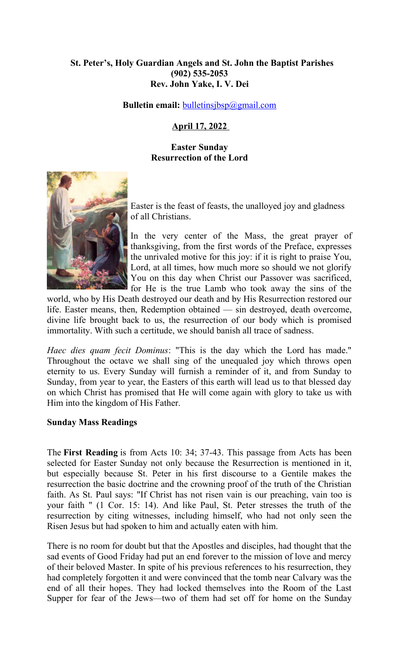### **St. Peter's, Holy Guardian Angels and St. John the Baptist Parishes (902) 535-2053 Rev. John Yake, I. V. Dei**

**Bulletin email: bulletinsjbsp**@gmail.com

### **April 17, 2022**

#### **Easter Sunday Resurrection of the Lord**



Easter is the feast of feasts, the unalloyed joy and gladness of all Christians.

In the very center of the Mass, the great prayer of thanksgiving, from the first words of the Preface, expresses the unrivaled motive for this joy: if it is right to praise You, Lord, at all times, how much more so should we not glorify You on this day when Christ our Passover was sacrificed, for He is the true Lamb who took away the sins of the

world, who by His Death destroyed our death and by His Resurrection restored our life. Easter means, then, Redemption obtained — sin destroyed, death overcome, divine life brought back to us, the resurrection of our body which is promised immortality. With such a certitude, we should banish all trace of sadness.

*Haec dies quam fecit Dominus*: "This is the day which the Lord has made." Throughout the octave we shall sing of the unequaled joy which throws open eternity to us. Every Sunday will furnish a reminder of it, and from Sunday to Sunday, from year to year, the Easters of this earth will lead us to that blessed day on which Christ has promised that He will come again with glory to take us with Him into the kingdom of His Father.

#### **Sunday Mass Readings**

The **First Reading** is from Acts 10: 34; 37-43. This passage from Acts has been selected for Easter Sunday not only because the Resurrection is mentioned in it, but especially because St. Peter in his first discourse to a Gentile makes the resurrection the basic doctrine and the crowning proof of the truth of the Christian faith. As St. Paul says: "If Christ has not risen vain is our preaching, vain too is your faith " (1 Cor. 15: 14). And like Paul, St. Peter stresses the truth of the resurrection by citing witnesses, including himself, who had not only seen the Risen Jesus but had spoken to him and actually eaten with him.

There is no room for doubt but that the Apostles and disciples, had thought that the sad events of Good Friday had put an end forever to the mission of love and mercy of their beloved Master. In spite of his previous references to his resurrection, they had completely forgotten it and were convinced that the tomb near Calvary was the end of all their hopes. They had locked themselves into the Room of the Last Supper for fear of the Jews—two of them had set off for home on the Sunday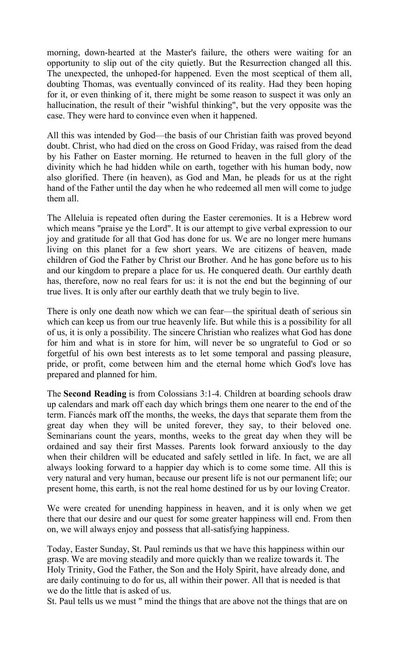morning, down-hearted at the Master's failure, the others were waiting for an opportunity to slip out of the city quietly. But the Resurrection changed all this. The unexpected, the unhoped-for happened. Even the most sceptical of them all, doubting Thomas, was eventually convinced of its reality. Had they been hoping for it, or even thinking of it, there might be some reason to suspect it was only an hallucination, the result of their "wishful thinking", but the very opposite was the case. They were hard to convince even when it happened.

All this was intended by God—the basis of our Christian faith was proved beyond doubt. Christ, who had died on the cross on Good Friday, was raised from the dead by his Father on Easter morning. He returned to heaven in the full glory of the divinity which he had hidden while on earth, together with his human body, now also glorified. There (in heaven), as God and Man, he pleads for us at the right hand of the Father until the day when he who redeemed all men will come to judge them all.

The Alleluia is repeated often during the Easter ceremonies. It is a Hebrew word which means "praise ye the Lord". It is our attempt to give verbal expression to our joy and gratitude for all that God has done for us. We are no longer mere humans living on this planet for a few short years. We are citizens of heaven, made children of God the Father by Christ our Brother. And he has gone before us to his and our kingdom to prepare a place for us. He conquered death. Our earthly death has, therefore, now no real fears for us: it is not the end but the beginning of our true lives. It is only after our earthly death that we truly begin to live.

There is only one death now which we can fear—the spiritual death of serious sin which can keep us from our true heavenly life. But while this is a possibility for all of us, it is only a possibility. The sincere Christian who realizes what God has done for him and what is in store for him, will never be so ungrateful to God or so forgetful of his own best interests as to let some temporal and passing pleasure, pride, or profit, come between him and the eternal home which God's love has prepared and planned for him.

The **Second Reading** is from Colossians 3:1-4. Children at boarding schools draw up calendars and mark off each day which brings them one nearer to the end of the term. Fiancés mark off the months, the weeks, the days that separate them from the great day when they will be united forever, they say, to their beloved one. Seminarians count the years, months, weeks to the great day when they will be ordained and say their first Masses. Parents look forward anxiously to the day when their children will be educated and safely settled in life. In fact, we are all always looking forward to a happier day which is to come some time. All this is very natural and very human, because our present life is not our permanent life; our present home, this earth, is not the real home destined for us by our loving Creator.

We were created for unending happiness in heaven, and it is only when we get there that our desire and our quest for some greater happiness will end. From then on, we will always enjoy and possess that all-satisfying happiness.

Today, Easter Sunday, St. Paul reminds us that we have this happiness within our grasp. We are moving steadily and more quickly than we realize towards it. The Holy Trinity, God the Father, the Son and the Holy Spirit, have already done, and are daily continuing to do for us, all within their power. All that is needed is that we do the little that is asked of us.

St. Paul tells us we must " mind the things that are above not the things that are on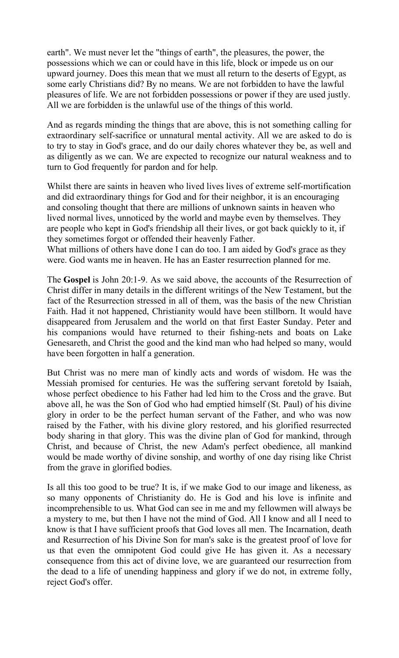earth". We must never let the "things of earth", the pleasures, the power, the possessions which we can or could have in this life, block or impede us on our upward journey. Does this mean that we must all return to the deserts of Egypt, as some early Christians did? By no means. We are not forbidden to have the lawful pleasures of life. We are not forbidden possessions or power if they are used justly. All we are forbidden is the unlawful use of the things of this world.

And as regards minding the things that are above, this is not something calling for extraordinary self-sacrifice or unnatural mental activity. All we are asked to do is to try to stay in God's grace, and do our daily chores whatever they be, as well and as diligently as we can. We are expected to recognize our natural weakness and to turn to God frequently for pardon and for help.

Whilst there are saints in heaven who lived lives lives of extreme self-mortification and did extraordinary things for God and for their neighbor, it is an encouraging and consoling thought that there are millions of unknown saints in heaven who lived normal lives, unnoticed by the world and maybe even by themselves. They are people who kept in God's friendship all their lives, or got back quickly to it, if they sometimes forgot or offended their heavenly Father.

What millions of others have done I can do too. I am aided by God's grace as they were. God wants me in heaven. He has an Easter resurrection planned for me.

The **Gospel** is John 20:1-9. As we said above, the accounts of the Resurrection of Christ differ in many details in the different writings of the New Testament, but the fact of the Resurrection stressed in all of them, was the basis of the new Christian Faith. Had it not happened, Christianity would have been stillborn. It would have disappeared from Jerusalem and the world on that first Easter Sunday. Peter and his companions would have returned to their fishing-nets and boats on Lake Genesareth, and Christ the good and the kind man who had helped so many, would have been forgotten in half a generation.

But Christ was no mere man of kindly acts and words of wisdom. He was the Messiah promised for centuries. He was the suffering servant foretold by Isaiah, whose perfect obedience to his Father had led him to the Cross and the grave. But above all, he was the Son of God who had emptied himself (St. Paul) of his divine glory in order to be the perfect human servant of the Father, and who was now raised by the Father, with his divine glory restored, and his glorified resurrected body sharing in that glory. This was the divine plan of God for mankind, through Christ, and because of Christ, the new Adam's perfect obedience, all mankind would be made worthy of divine sonship, and worthy of one day rising like Christ from the grave in glorified bodies.

Is all this too good to be true? It is, if we make God to our image and likeness, as so many opponents of Christianity do. He is God and his love is infinite and incomprehensible to us. What God can see in me and my fellowmen will always be a mystery to me, but then I have not the mind of God. All I know and all I need to know is that I have sufficient proofs that God loves all men. The Incarnation, death and Resurrection of his Divine Son for man's sake is the greatest proof of love for us that even the omnipotent God could give He has given it. As a necessary consequence from this act of divine love, we are guaranteed our resurrection from the dead to a life of unending happiness and glory if we do not, in extreme folly, reject God's offer.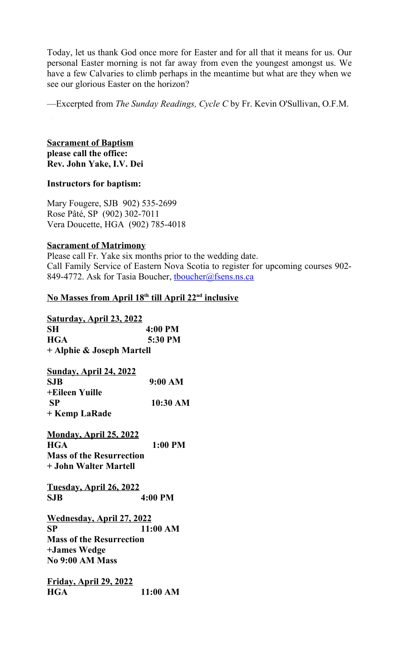Today, let us thank God once more for Easter and for all that it means for us. Our personal Easter morning is not far away from even the youngest amongst us. We have a few Calvaries to climb perhaps in the meantime but what are they when we see our glorious Easter on the horizon?

—Excerpted from *The Sunday Readings, Cycle C* by Fr. Kevin O'Sullivan, O.F.M.

**Sacrament of Baptism please call the office: Rev. John Yake, I.V. Dei**

#### **Instructors for baptism:**

Mary Fougere, SJB 902) 535-2699 Rose Pâté, SP (902) 302-7011 Vera Doucette, HGA (902) 785-4018

#### **Sacrament of Matrimony**

Please call Fr. Yake six months prior to the wedding date. Call Family Service of Eastern Nova Scotia to register for upcoming courses 902- 849-4772. Ask for Tasia Boucher, thoucher@fsens.ns.ca

#### **No Masses from April 18th till April 22nd inclusive**

| <b>Saturday, April 23, 2022</b>   |            |
|-----------------------------------|------------|
| SH                                | 4:00 PM    |
| <b>HGA</b>                        | 5:30 PM    |
| + Alphie & Joseph Martell         |            |
| <u>Sunday, April 24, 2022</u>     |            |
| <b>SJB</b>                        | 9:00 AM    |
| +Eileen Yuille                    |            |
| <b>SP</b>                         | 10:30 AM   |
| + Kemp LaRade                     |            |
| <b>Monday, April 25, 2022</b>     |            |
| <b>HGA</b>                        | $1:00$ PM  |
| <b>Mass of the Resurrection</b>   |            |
| + John Walter Martell             |            |
| <u> Tuesday, April 26, 2022</u>   |            |
| <b>SJB</b>                        | $4:00$ PM  |
| <u> Wednesday, April 27, 2022</u> |            |
| <b>SP</b>                         | $11:00$ AM |
| <b>Mass of the Resurrection</b>   |            |
| +James Wedge                      |            |
| <b>No 9:00 AM Mass</b>            |            |
| <u>Friday, April 29, 2022</u>     |            |
| <b>HGA</b>                        | 11:00 AM   |
|                                   |            |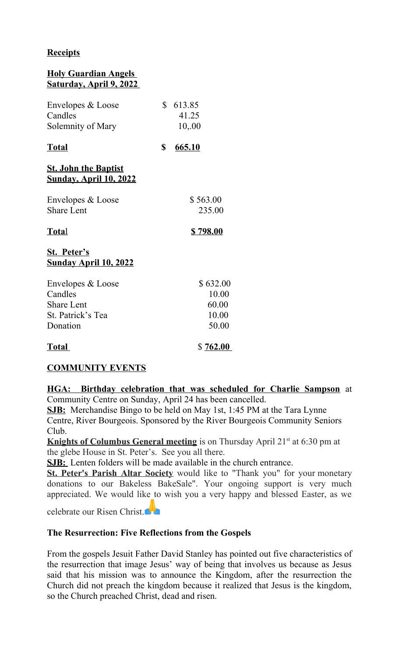### **Receipts**

# **Holy Guardian Angels Saturday, April 9, 2022**

| Envelopes & Loose<br>Candles<br>Solemnity of Mary                                  | \$<br>613.85<br>41.25<br>10,00               |
|------------------------------------------------------------------------------------|----------------------------------------------|
| <u>Total</u>                                                                       | \$<br>665.10                                 |
| <u>St. John the Baptist</u><br><u>Sunday, April 10, 2022</u>                       |                                              |
| Envelopes & Loose<br><b>Share Lent</b>                                             | \$563.00<br>235.00                           |
| <u>Total</u>                                                                       | <u>\$798.00</u>                              |
| <b>St. Peter's</b><br><u>Sunday April 10, 2022</u>                                 |                                              |
| Envelopes & Loose<br>Candles<br><b>Share Lent</b><br>St. Patrick's Tea<br>Donation | \$632.00<br>10.00<br>60.00<br>10.00<br>50.00 |
| <u>Total</u>                                                                       | \$762.00                                     |

#### **COMMUNITY EVENTS**

**HGA: Birthday celebration that was scheduled for Charlie Sampson** at Community Centre on Sunday, April 24 has been cancelled.

**SJB:** Merchandise Bingo to be held on May 1st, 1:45 PM at the Tara Lynne Centre, River Bourgeois. Sponsored by the River Bourgeois Community Seniors Club.

**Knights of Columbus General meeting** is on Thursday April 21<sup>st</sup> at 6:30 pm at the glebe House in St. Peter's. See you all there.

**SJB:** Lenten folders will be made available in the church entrance.

**St. Peter's Parish Altar Society** would like to "Thank you" for your monetary donations to our Bakeless BakeSale". Your ongoing support is very much appreciated. We would like to wish you a very happy and blessed Easter, as we

celebrate our Risen Christ.

#### **The Resurrection: Five Reflections from the Gospels**

From the gospels Jesuit Father David Stanley has pointed out five characteristics of the resurrection that image Jesus' way of being that involves us because as Jesus said that his mission was to announce the Kingdom, after the resurrection the Church did not preach the kingdom because it realized that Jesus is the kingdom, so the Church preached Christ, dead and risen.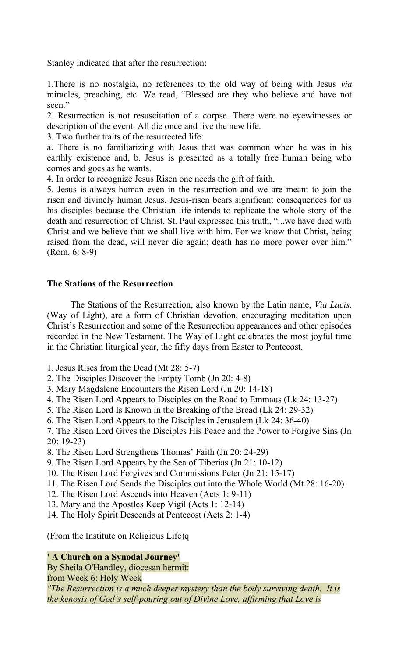Stanley indicated that after the resurrection:

1.There is no nostalgia, no references to the old way of being with Jesus *via* miracles, preaching, etc. We read, "Blessed are they who believe and have not seen."

2. Resurrection is not resuscitation of a corpse. There were no eyewitnesses or description of the event. All die once and live the new life.

3. Two further traits of the resurrected life:

a. There is no familiarizing with Jesus that was common when he was in his earthly existence and, b. Jesus is presented as a totally free human being who comes and goes as he wants.

4. In order to recognize Jesus Risen one needs the gift of faith.

5. Jesus is always human even in the resurrection and we are meant to join the risen and divinely human Jesus. Jesus-risen bears significant consequences for us his disciples because the Christian life intends to replicate the whole story of the death and resurrection of Christ. St. Paul expressed this truth, "...we have died with Christ and we believe that we shall live with him. For we know that Christ, being raised from the dead, will never die again; death has no more power over him." (Rom. 6: 8-9)

#### **The Stations of the Resurrection**

The Stations of the Resurrection, also known by the Latin name, *Via Lucis,* (Way of Light), are a form of Christian devotion, encouraging meditation upon Christ's Resurrection and some of the Resurrection appearances and other episodes recorded in the New Testament. The Way of Light celebrates the most joyful time in the Christian liturgical year, the fifty days from Easter to Pentecost.

- 1. Jesus Rises from the Dead (Mt 28: 5-7)
- 2. The Disciples Discover the Empty Tomb (Jn 20: 4-8)
- 3. Mary Magdalene Encounters the Risen Lord (Jn 20: 14-18)
- 4. The Risen Lord Appears to Disciples on the Road to Emmaus (Lk 24: 13-27)
- 5. The Risen Lord Is Known in the Breaking of the Bread (Lk 24: 29-32)
- 6. The Risen Lord Appears to the Disciples in Jerusalem (Lk 24: 36-40)
- 7. The Risen Lord Gives the Disciples His Peace and the Power to Forgive Sins (Jn 20: 19-23)

8. The Risen Lord Strengthens Thomas' Faith (Jn 20: 24-29)

- 9. The Risen Lord Appears by the Sea of Tiberias (Jn 21: 10-12)
- 10. The Risen Lord Forgives and Commissions Peter (Jn 21: 15-17)
- 11. The Risen Lord Sends the Disciples out into the Whole World (Mt 28: 16-20)
- 12. The Risen Lord Ascends into Heaven (Acts 1: 9-11)
- 13. Mary and the Apostles Keep Vigil (Acts 1: 12-14)
- 14. The Holy Spirit Descends at Pentecost (Acts 2: 1-4)

(From the Institute on Religious Life)q

#### **' A Church on a Synodal Journey'**

By Sheila O'Handley, diocesan hermit:

from Week 6: Holy Week

*"The Resurrection is a much deeper mystery than the body surviving death. It is the kenosis of God's self-pouring out of Divine Love, affirming that Love is*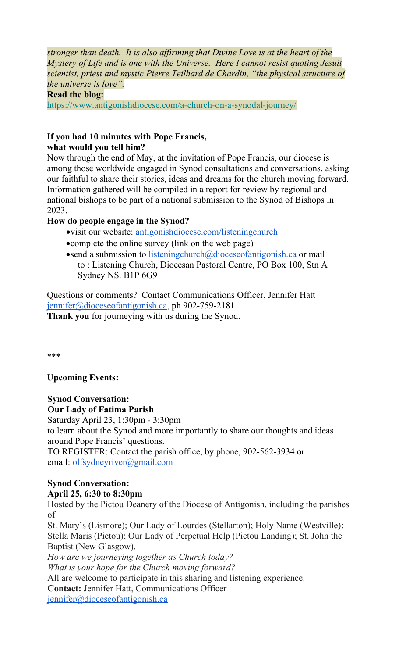*stronger than death. It is also affirming that Divine Love is at the heart of the Mystery of Life and is one with the Universe. Here I cannot resist quoting Jesuit scientist, priest and mystic Pierre Teilhard de Chardin, "the physical structure of the universe is love".*

### **Read the blog:**

[https://www.antigonishdiocese.com/a-church-on-a-synodal-journey/](https://antigonishdiocese.us11.list-manage.com/track/click?u=46108c95b96680ff598b4aa1d&id=7a33e069ef&e=60939d450d)

### **If you had 10 minutes with Pope Francis,**

## **what would you tell him?**

Now through the end of May, at the invitation of Pope Francis, our diocese is among those worldwide engaged in Synod consultations and conversations, asking our faithful to share their stories, ideas and dreams for the church moving forward. Information gathered will be compiled in a report for review by regional and national bishops to be part of a national submission to the Synod of Bishops in 2023.

### **How do people engage in the Synod?**

- visit our website: [antigonishdiocese.com/listeningchurch](http://antigonishdiocese.com/listeningchurch)
- complete the online survey (link on the web page)
- $\bullet$ send a submission to [listeningchurch@dioceseofantigonish.ca](mailto:listeningchurch@dioceseofantigonish.ca) or mail to : Listening Church, Diocesan Pastoral Centre, PO Box 100, Stn A Sydney NS. B1P 6G9

Questions or comments? Contact Communications Officer, Jennifer Hatt [jennifer@dioceseofantigonish.ca,](mailto:jennifer@dioceseofantigonish.ca) ph 902-759-2181 **Thank you** for journeying with us during the Synod.

\*\*\*

### **Upcoming Events:**

**Synod Conversation: Our Lady of Fatima Parish**

Saturday April 23, 1:30pm - 3:30pm

to learn about the Synod and more importantly to share our thoughts and ideas around Pope Francis' questions.

TO REGISTER: Contact the parish office, by phone, 902-562-3934 or email: [olfsydneyriver@gmail.com](mailto:olfsydneyriver@gmail.com)

#### **Synod Conversation: April 25, 6:30 to 8:30pm**

Hosted by the Pictou Deanery of the Diocese of Antigonish, including the parishes of

St. Mary's (Lismore); Our Lady of Lourdes (Stellarton); Holy Name (Westville); Stella Maris (Pictou); Our Lady of Perpetual Help (Pictou Landing); St. John the Baptist (New Glasgow).

*How are we journeying together as Church today? What is your hope for the Church moving forward?* All are welcome to participate in this sharing and listening experience. **Contact:** Jennifer Hatt, Communications Officer [jennifer@dioceseofantigonish.ca](mailto:jennifer@dioceseofantigonish.ca)